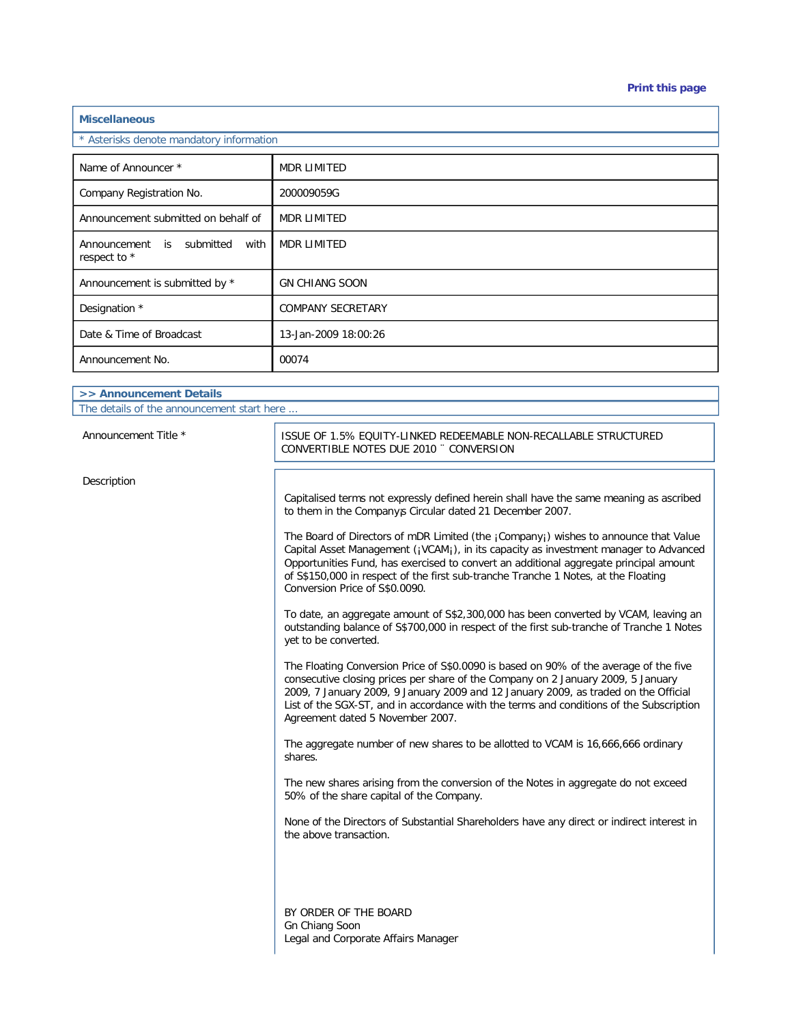| <b>Miscellaneous</b> |
|----------------------|
|                      |

\* Asterisks denote mandatory information

| <b>ASICHS</b> OCHOLD HIGHGALOFY INTOITMENT             |                          |
|--------------------------------------------------------|--------------------------|
|                                                        |                          |
| Name of Announcer *                                    | <b>MDR LIMITED</b>       |
| Company Registration No.                               | 200009059G               |
| Announcement submitted on behalf of                    | <b>MDR LIMITED</b>       |
| Announcement is<br>submitted<br>with I<br>respect to * | <b>MDR LIMITED</b>       |
| Announcement is submitted by *                         | <b>GN CHIANG SOON</b>    |
| Designation *                                          | <b>COMPANY SECRETARY</b> |
| Date & Time of Broadcast                               | 13-Jan-2009 18:00:26     |
| Announcement No.                                       | 00074                    |

| >> Announcement Details                    |                                                                  |  |
|--------------------------------------------|------------------------------------------------------------------|--|
| The details of the announcement start here |                                                                  |  |
| Announcement Title *                       | ISSUE OF 1.5% EOUITY-LINKED REDEEMABLE NON-RECALLABLE STRUCTURED |  |
|                                            | CONVERTIBLE NOTES DUE 2010 " CONVERSION                          |  |

Description

Capitalised terms not expressly defined herein shall have the same meaning as ascribed to them in the Company<sub>j</sub> Circular dated 21 December 2007.

The Board of Directors of mDR Limited (the ¡Company¡) wishes to announce that Value Capital Asset Management (¡VCAM¡), in its capacity as investment manager to Advanced Opportunities Fund, has exercised to convert an additional aggregate principal amount of S\$150,000 in respect of the first sub-tranche Tranche 1 Notes, at the Floating Conversion Price of S\$0.0090.

To date, an aggregate amount of S\$2,300,000 has been converted by VCAM, leaving an outstanding balance of S\$700,000 in respect of the first sub-tranche of Tranche 1 Notes yet to be converted.

The Floating Conversion Price of S\$0.0090 is based on 90% of the average of the five consecutive closing prices per share of the Company on 2 January 2009, 5 January 2009, 7 January 2009, 9 January 2009 and 12 January 2009, as traded on the Official List of the SGX-ST, and in accordance with the terms and conditions of the Subscription Agreement dated 5 November 2007.

The aggregate number of new shares to be allotted to VCAM is 16,666,666 ordinary shares.

The new shares arising from the conversion of the Notes in aggregate do not exceed 50% of the share capital of the Company.

None of the Directors of Substantial Shareholders have any direct or indirect interest in the above transaction.

BY ORDER OF THE BOARD Gn Chiang Soon Legal and Corporate Affairs Manager